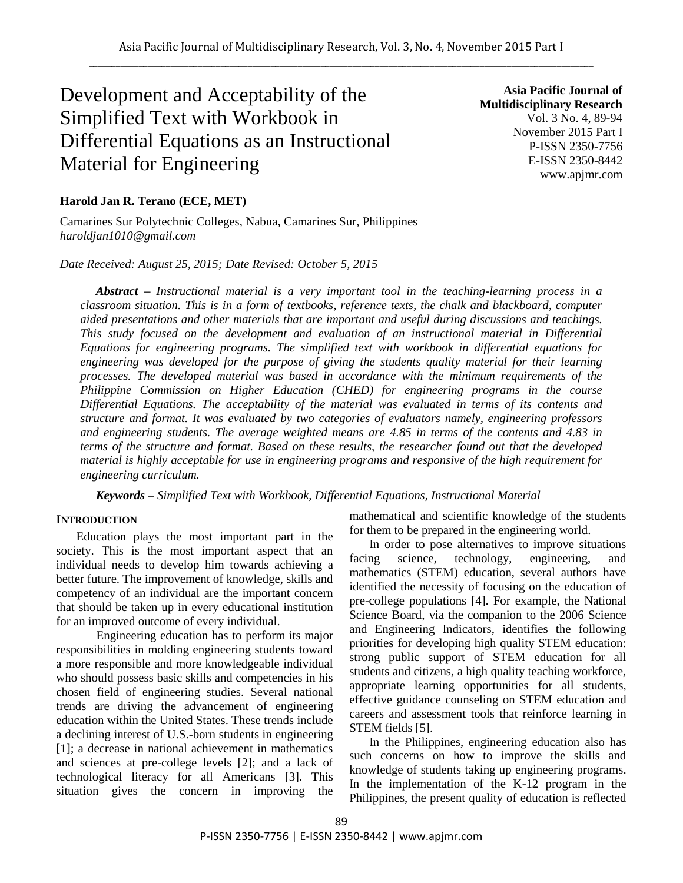# Development and Acceptability of the Simplified Text with Workbook in Differential Equations as an Instructional Material for Engineering

**Asia Pacific Journal of Multidisciplinary Research** Vol. 3 No. 4, 89-94 November 2015 Part I P-ISSN 2350-7756 E-ISSN 2350-8442 www.apjmr.com

## **Harold Jan R. Terano (ECE, MET)**

Camarines Sur Polytechnic Colleges, Nabua, Camarines Sur, Philippines *haroldjan1010@gmail.com*

## *Date Received: August 25, 2015; Date Revised: October 5, 2015*

*Abstract – Instructional material is a very important tool in the teaching-learning process in a classroom situation. This is in a form of textbooks, reference texts, the chalk and blackboard, computer aided presentations and other materials that are important and useful during discussions and teachings. This study focused on the development and evaluation of an instructional material in Differential Equations for engineering programs. The simplified text with workbook in differential equations for engineering was developed for the purpose of giving the students quality material for their learning processes. The developed material was based in accordance with the minimum requirements of the Philippine Commission on Higher Education (CHED) for engineering programs in the course Differential Equations. The acceptability of the material was evaluated in terms of its contents and structure and format. It was evaluated by two categories of evaluators namely, engineering professors and engineering students. The average weighted means are 4.85 in terms of the contents and 4.83 in terms of the structure and format. Based on these results, the researcher found out that the developed material is highly acceptable for use in engineering programs and responsive of the high requirement for engineering curriculum.*

*Keywords – Simplified Text with Workbook, Differential Equations, Instructional Material*

## **INTRODUCTION**

Education plays the most important part in the society. This is the most important aspect that an individual needs to develop him towards achieving a better future. The improvement of knowledge, skills and competency of an individual are the important concern that should be taken up in every educational institution for an improved outcome of every individual.

Engineering education has to perform its major responsibilities in molding engineering students toward a more responsible and more knowledgeable individual who should possess basic skills and competencies in his chosen field of engineering studies. Several national trends are driving the advancement of engineering education within the United States. These trends include a declining interest of U.S.-born students in engineering [1]; a decrease in national achievement in mathematics and sciences at pre-college levels [2]; and a lack of technological literacy for all Americans [3]. This situation gives the concern in improving the mathematical and scientific knowledge of the students for them to be prepared in the engineering world.

In order to pose alternatives to improve situations facing science, technology, engineering, and mathematics (STEM) education, several authors have identified the necessity of focusing on the education of pre-college populations [4]. For example, the National Science Board, via the companion to the 2006 Science and Engineering Indicators, identifies the following priorities for developing high quality STEM education: strong public support of STEM education for all students and citizens, a high quality teaching workforce, appropriate learning opportunities for all students, effective guidance counseling on STEM education and careers and assessment tools that reinforce learning in STEM fields [5].

In the Philippines, engineering education also has such concerns on how to improve the skills and knowledge of students taking up engineering programs. In the implementation of the K-12 program in the Philippines, the present quality of education is reflected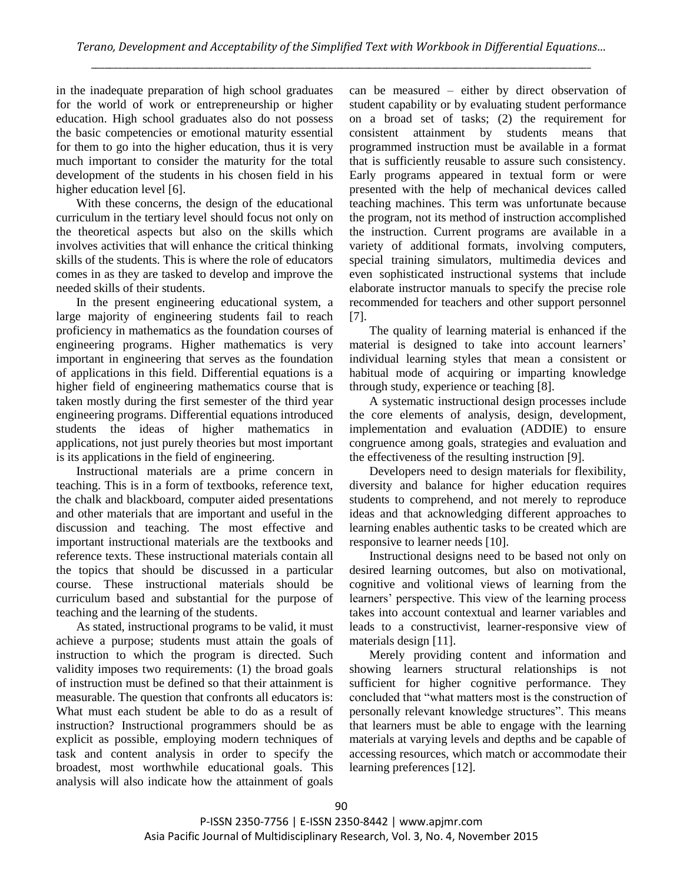in the inadequate preparation of high school graduates for the world of work or entrepreneurship or higher education. High school graduates also do not possess the basic competencies or emotional maturity essential for them to go into the higher education, thus it is very much important to consider the maturity for the total development of the students in his chosen field in his higher education level [6].

With these concerns, the design of the educational curriculum in the tertiary level should focus not only on the theoretical aspects but also on the skills which involves activities that will enhance the critical thinking skills of the students. This is where the role of educators comes in as they are tasked to develop and improve the needed skills of their students.

In the present engineering educational system, a large majority of engineering students fail to reach proficiency in mathematics as the foundation courses of engineering programs. Higher mathematics is very important in engineering that serves as the foundation of applications in this field. Differential equations is a higher field of engineering mathematics course that is taken mostly during the first semester of the third year engineering programs. Differential equations introduced students the ideas of higher mathematics in applications, not just purely theories but most important is its applications in the field of engineering.

Instructional materials are a prime concern in teaching. This is in a form of textbooks, reference text, the chalk and blackboard, computer aided presentations and other materials that are important and useful in the discussion and teaching. The most effective and important instructional materials are the textbooks and reference texts. These instructional materials contain all the topics that should be discussed in a particular course. These instructional materials should be curriculum based and substantial for the purpose of teaching and the learning of the students.

As stated, instructional programs to be valid, it must achieve a purpose; students must attain the goals of instruction to which the program is directed. Such validity imposes two requirements: (1) the broad goals of instruction must be defined so that their attainment is measurable. The question that confronts all educators is: What must each student be able to do as a result of instruction? Instructional programmers should be as explicit as possible, employing modern techniques of task and content analysis in order to specify the broadest, most worthwhile educational goals. This analysis will also indicate how the attainment of goals can be measured – either by direct observation of student capability or by evaluating student performance on a broad set of tasks; (2) the requirement for consistent attainment by students means that programmed instruction must be available in a format that is sufficiently reusable to assure such consistency. Early programs appeared in textual form or were presented with the help of mechanical devices called teaching machines. This term was unfortunate because the program, not its method of instruction accomplished the instruction. Current programs are available in a variety of additional formats, involving computers, special training simulators, multimedia devices and even sophisticated instructional systems that include elaborate instructor manuals to specify the precise role recommended for teachers and other support personnel [7].

The quality of learning material is enhanced if the material is designed to take into account learners' individual learning styles that mean a consistent or habitual mode of acquiring or imparting knowledge through study, experience or teaching [8].

A systematic instructional design processes include the core elements of analysis, design, development, implementation and evaluation (ADDIE) to ensure congruence among goals, strategies and evaluation and the effectiveness of the resulting instruction [9].

Developers need to design materials for flexibility, diversity and balance for higher education requires students to comprehend, and not merely to reproduce ideas and that acknowledging different approaches to learning enables authentic tasks to be created which are responsive to learner needs [10].

Instructional designs need to be based not only on desired learning outcomes, but also on motivational, cognitive and volitional views of learning from the learners' perspective. This view of the learning process takes into account contextual and learner variables and leads to a constructivist, learner-responsive view of materials design [11].

Merely providing content and information and showing learners structural relationships is not sufficient for higher cognitive performance. They concluded that "what matters most is the construction of personally relevant knowledge structures". This means that learners must be able to engage with the learning materials at varying levels and depths and be capable of accessing resources, which match or accommodate their learning preferences [12].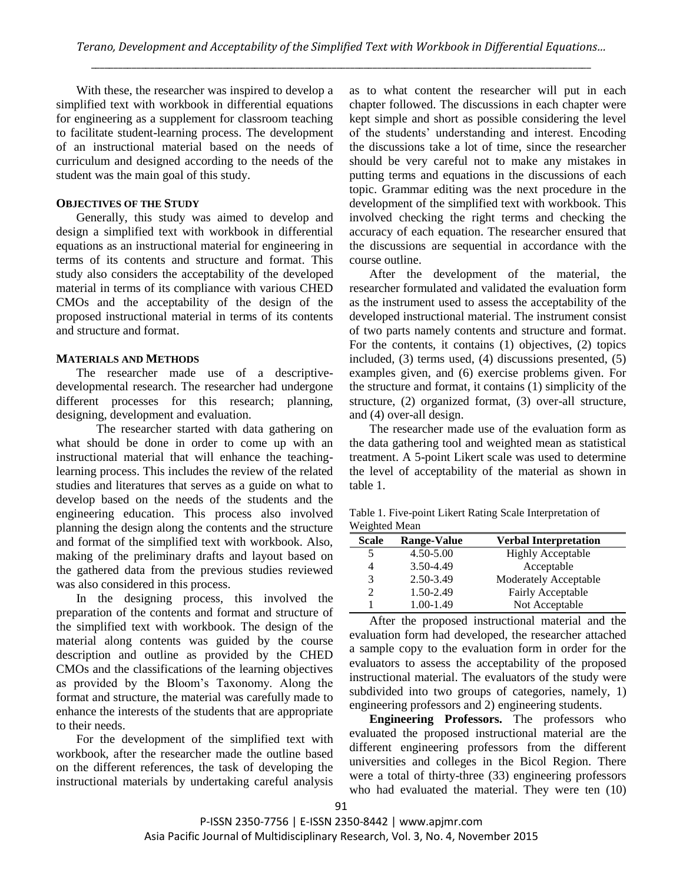With these, the researcher was inspired to develop a simplified text with workbook in differential equations for engineering as a supplement for classroom teaching to facilitate student-learning process. The development of an instructional material based on the needs of curriculum and designed according to the needs of the student was the main goal of this study.

## **OBJECTIVES OF THE STUDY**

Generally, this study was aimed to develop and design a simplified text with workbook in differential equations as an instructional material for engineering in terms of its contents and structure and format. This study also considers the acceptability of the developed material in terms of its compliance with various CHED CMOs and the acceptability of the design of the proposed instructional material in terms of its contents and structure and format.

## **MATERIALS AND METHODS**

The researcher made use of a descriptivedevelopmental research. The researcher had undergone different processes for this research; planning, designing, development and evaluation.

The researcher started with data gathering on what should be done in order to come up with an instructional material that will enhance the teachinglearning process. This includes the review of the related studies and literatures that serves as a guide on what to develop based on the needs of the students and the engineering education. This process also involved planning the design along the contents and the structure and format of the simplified text with workbook. Also, making of the preliminary drafts and layout based on the gathered data from the previous studies reviewed was also considered in this process.

In the designing process, this involved the preparation of the contents and format and structure of the simplified text with workbook. The design of the material along contents was guided by the course description and outline as provided by the CHED CMOs and the classifications of the learning objectives as provided by the Bloom's Taxonomy. Along the format and structure, the material was carefully made to enhance the interests of the students that are appropriate to their needs.

For the development of the simplified text with workbook, after the researcher made the outline based on the different references, the task of developing the instructional materials by undertaking careful analysis as to what content the researcher will put in each chapter followed. The discussions in each chapter were kept simple and short as possible considering the level of the students' understanding and interest. Encoding the discussions take a lot of time, since the researcher should be very careful not to make any mistakes in putting terms and equations in the discussions of each topic. Grammar editing was the next procedure in the development of the simplified text with workbook. This involved checking the right terms and checking the accuracy of each equation. The researcher ensured that the discussions are sequential in accordance with the course outline.

After the development of the material, the researcher formulated and validated the evaluation form as the instrument used to assess the acceptability of the developed instructional material. The instrument consist of two parts namely contents and structure and format. For the contents, it contains (1) objectives, (2) topics included, (3) terms used, (4) discussions presented, (5) examples given, and (6) exercise problems given. For the structure and format, it contains (1) simplicity of the structure, (2) organized format, (3) over-all structure, and (4) over-all design.

The researcher made use of the evaluation form as the data gathering tool and weighted mean as statistical treatment. A 5-point Likert scale was used to determine the level of acceptability of the material as shown in table 1.

|               | Table 1. Five-point Likert Rating Scale Interpretation of |
|---------------|-----------------------------------------------------------|
| Weighted Mean |                                                           |

| <b>Scale</b>   | <b>Range-Value</b> | <b>Verbal Interpretation</b> |
|----------------|--------------------|------------------------------|
| 5              | 4.50-5.00          | <b>Highly Acceptable</b>     |
| 4              | 3.50-4.49          | Acceptable                   |
| 3              | 2.50-3.49          | Moderately Acceptable        |
| $\mathfrak{D}$ | 1.50-2.49          | Fairly Acceptable            |
|                | 1.00-1.49          | Not Acceptable               |

After the proposed instructional material and the evaluation form had developed, the researcher attached a sample copy to the evaluation form in order for the evaluators to assess the acceptability of the proposed instructional material. The evaluators of the study were subdivided into two groups of categories, namely, 1) engineering professors and 2) engineering students.

**Engineering Professors.** The professors who evaluated the proposed instructional material are the different engineering professors from the different universities and colleges in the Bicol Region. There were a total of thirty-three (33) engineering professors who had evaluated the material. They were ten (10)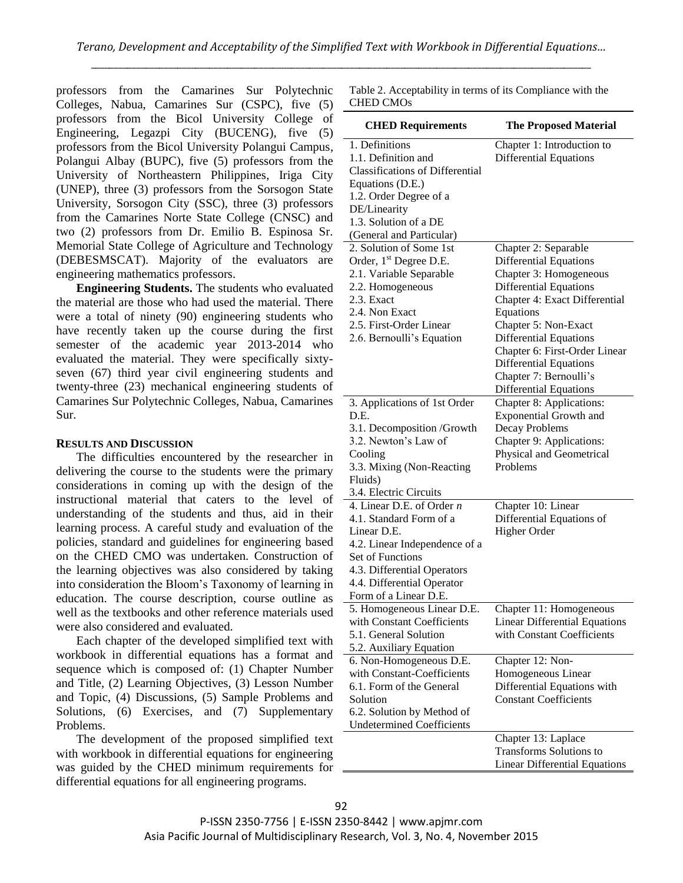professors from the Camarines Sur Polytechnic Colleges, Nabua, Camarines Sur (CSPC), five (5) professors from the Bicol University College of Engineering, Legazpi City (BUCENG), five (5) professors from the Bicol University Polangui Campus, Polangui Albay (BUPC), five (5) professors from the University of Northeastern Philippines, Iriga City (UNEP), three (3) professors from the Sorsogon State University, Sorsogon City (SSC), three (3) professors from the Camarines Norte State College (CNSC) and two (2) professors from Dr. Emilio B. Espinosa Sr. Memorial State College of Agriculture and Technology (DEBESMSCAT). Majority of the evaluators are engineering mathematics professors.

**Engineering Students.** The students who evaluated the material are those who had used the material. There were a total of ninety (90) engineering students who have recently taken up the course during the first semester of the academic year 2013-2014 who evaluated the material. They were specifically sixtyseven (67) third year civil engineering students and twenty-three (23) mechanical engineering students of Camarines Sur Polytechnic Colleges, Nabua, Camarines Sur.

#### **RESULTS AND DISCUSSION**

The difficulties encountered by the researcher in delivering the course to the students were the primary considerations in coming up with the design of the instructional material that caters to the level of understanding of the students and thus, aid in their learning process. A careful study and evaluation of the policies, standard and guidelines for engineering based on the CHED CMO was undertaken. Construction of the learning objectives was also considered by taking into consideration the Bloom's Taxonomy of learning in education. The course description, course outline as well as the textbooks and other reference materials used were also considered and evaluated.

Each chapter of the developed simplified text with workbook in differential equations has a format and sequence which is composed of: (1) Chapter Number and Title, (2) Learning Objectives, (3) Lesson Number and Topic, (4) Discussions, (5) Sample Problems and Solutions, (6) Exercises, and (7) Supplementary Problems.

The development of the proposed simplified text with workbook in differential equations for engineering was guided by the CHED minimum requirements for differential equations for all engineering programs.

Table 2. Acceptability in terms of its Compliance with the CHED CMOs

| <b>CHED Requirements</b>                                                                                                                                                                                         | <b>The Proposed Material</b>                                                                                                                                                                                                                                                                |
|------------------------------------------------------------------------------------------------------------------------------------------------------------------------------------------------------------------|---------------------------------------------------------------------------------------------------------------------------------------------------------------------------------------------------------------------------------------------------------------------------------------------|
| 1. Definitions<br>1.1. Definition and<br><b>Classifications of Differential</b><br>Equations (D.E.)<br>1.2. Order Degree of a<br>DE/Linearity<br>1.3. Solution of a DE<br>(General and Particular)               | Chapter 1: Introduction to<br><b>Differential Equations</b>                                                                                                                                                                                                                                 |
| 2. Solution of Some 1st                                                                                                                                                                                          | Chapter 2: Separable                                                                                                                                                                                                                                                                        |
| Order, 1 <sup>st</sup> Degree D.E.<br>2.1. Variable Separable<br>2.2. Homogeneous<br>2.3. Exact<br>2.4. Non Exact<br>2.5. First-Order Linear<br>2.6. Bernoulli's Equation                                        | <b>Differential Equations</b><br>Chapter 3: Homogeneous<br><b>Differential Equations</b><br>Chapter 4: Exact Differential<br>Equations<br>Chapter 5: Non-Exact<br><b>Differential Equations</b><br>Chapter 6: First-Order Linear<br><b>Differential Equations</b><br>Chapter 7: Bernoulli's |
|                                                                                                                                                                                                                  | <b>Differential Equations</b>                                                                                                                                                                                                                                                               |
| 3. Applications of 1st Order<br>D.E.<br>3.1. Decomposition /Growth<br>3.2. Newton's Law of<br>Cooling<br>3.3. Mixing (Non-Reacting<br>Fluids)                                                                    | Chapter 8: Applications:<br><b>Exponential Growth and</b><br>Decay Problems<br>Chapter 9: Applications:<br>Physical and Geometrical<br>Problems                                                                                                                                             |
| 3.4. Electric Circuits                                                                                                                                                                                           |                                                                                                                                                                                                                                                                                             |
| 4. Linear D.E. of Order $n$<br>4.1. Standard Form of a<br>Linear D.E.<br>4.2. Linear Independence of a<br>Set of Functions<br>4.3. Differential Operators<br>4.4. Differential Operator<br>Form of a Linear D.E. | Chapter 10: Linear<br>Differential Equations of<br>Higher Order                                                                                                                                                                                                                             |
| 5. Homogeneous Linear D.E.<br>with Constant Coefficients<br>5.1. General Solution<br>5.2. Auxiliary Equation                                                                                                     | Chapter 11: Homogeneous<br><b>Linear Differential Equations</b><br>with Constant Coefficients                                                                                                                                                                                               |
| 6. Non-Homogeneous D.E.<br>with Constant-Coefficients<br>6.1. Form of the General<br>Solution<br>6.2. Solution by Method of<br><b>Undetermined Coefficients</b>                                                  | Chapter 12: Non-<br>Homogeneous Linear<br>Differential Equations with<br><b>Constant Coefficients</b>                                                                                                                                                                                       |
|                                                                                                                                                                                                                  | Chapter 13: Laplace<br><b>Transforms Solutions to</b><br><b>Linear Differential Equations</b>                                                                                                                                                                                               |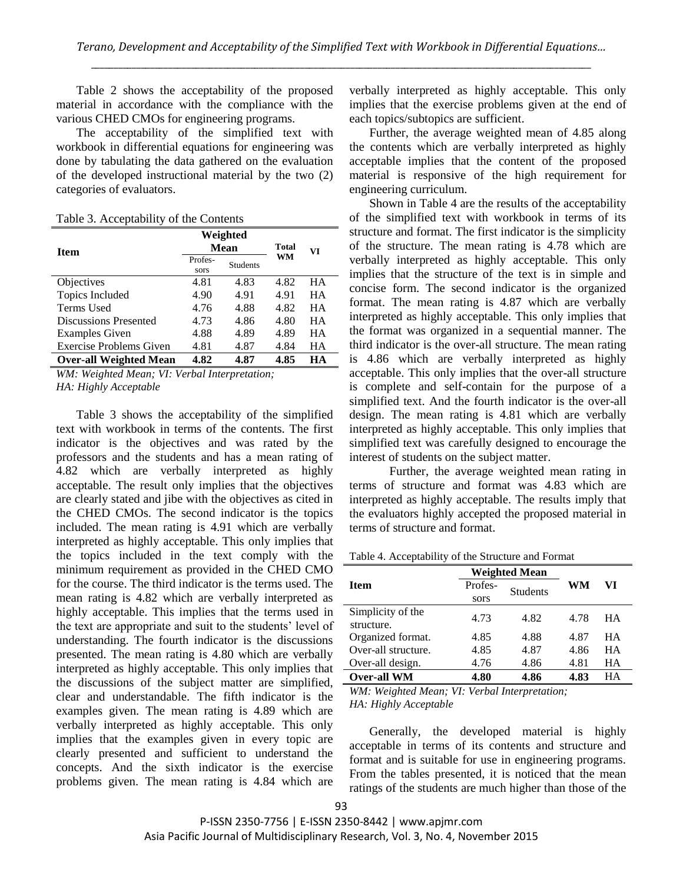Table 2 shows the acceptability of the proposed material in accordance with the compliance with the various CHED CMOs for engineering programs.

The acceptability of the simplified text with workbook in differential equations for engineering was done by tabulating the data gathered on the evaluation of the developed instructional material by the two (2) categories of evaluators.

|  | Table 3. Acceptability of the Contents |  |  |
|--|----------------------------------------|--|--|
|--|----------------------------------------|--|--|

|                                | Weighted        |                 |              |           |
|--------------------------------|-----------------|-----------------|--------------|-----------|
| Item                           | <b>Mean</b>     |                 | <b>Total</b> | VI        |
|                                | Profes-<br>sors | <b>Students</b> | WM           |           |
| Objectives                     | 4.81            | 4.83            | 4.82         | HА        |
| Topics Included                | 4.90            | 4.91            | 4.91         | <b>HA</b> |
| Terms Used                     | 4.76            | 4.88            | 4.82         | <b>HA</b> |
| Discussions Presented          | 4.73            | 4.86            | 4.80         | <b>HA</b> |
| <b>Examples Given</b>          | 4.88            | 4.89            | 4.89         | <b>HA</b> |
| <b>Exercise Problems Given</b> | 4.81            | 4.87            | 4.84         | HA        |
| <b>Over-all Weighted Mean</b>  | 4.82            | 4.87            | 4.85         | HА        |

*WM: Weighted Mean; VI: Verbal Interpretation; HA: Highly Acceptable*

Table 3 shows the acceptability of the simplified text with workbook in terms of the contents. The first indicator is the objectives and was rated by the professors and the students and has a mean rating of 4.82 which are verbally interpreted as highly acceptable. The result only implies that the objectives are clearly stated and jibe with the objectives as cited in the CHED CMOs. The second indicator is the topics included. The mean rating is 4.91 which are verbally interpreted as highly acceptable. This only implies that the topics included in the text comply with the minimum requirement as provided in the CHED CMO for the course. The third indicator is the terms used. The mean rating is 4.82 which are verbally interpreted as highly acceptable. This implies that the terms used in the text are appropriate and suit to the students' level of understanding. The fourth indicator is the discussions presented. The mean rating is 4.80 which are verbally interpreted as highly acceptable. This only implies that the discussions of the subject matter are simplified, clear and understandable. The fifth indicator is the examples given. The mean rating is 4.89 which are verbally interpreted as highly acceptable. This only implies that the examples given in every topic are clearly presented and sufficient to understand the concepts. And the sixth indicator is the exercise problems given. The mean rating is 4.84 which are

verbally interpreted as highly acceptable. This only implies that the exercise problems given at the end of each topics/subtopics are sufficient.

Further, the average weighted mean of 4.85 along the contents which are verbally interpreted as highly acceptable implies that the content of the proposed material is responsive of the high requirement for engineering curriculum.

Shown in Table 4 are the results of the acceptability of the simplified text with workbook in terms of its structure and format. The first indicator is the simplicity of the structure. The mean rating is 4.78 which are verbally interpreted as highly acceptable. This only implies that the structure of the text is in simple and concise form. The second indicator is the organized format. The mean rating is 4.87 which are verbally interpreted as highly acceptable. This only implies that the format was organized in a sequential manner. The third indicator is the over-all structure. The mean rating is 4.86 which are verbally interpreted as highly acceptable. This only implies that the over-all structure is complete and self-contain for the purpose of a simplified text. And the fourth indicator is the over-all design. The mean rating is 4.81 which are verbally interpreted as highly acceptable. This only implies that simplified text was carefully designed to encourage the interest of students on the subject matter.

Further, the average weighted mean rating in terms of structure and format was 4.83 which are interpreted as highly acceptable. The results imply that the evaluators highly accepted the proposed material in terms of structure and format.

| Table 4. Acceptability of the Structure and Format |  |  |  |  |  |
|----------------------------------------------------|--|--|--|--|--|
|----------------------------------------------------|--|--|--|--|--|

|                                 | <b>Weighted Mean</b> |                 |      |           |
|---------------------------------|----------------------|-----------------|------|-----------|
| <b>Item</b>                     | Profes-              | <b>Students</b> | WM   | VI        |
|                                 | sors                 |                 |      |           |
| Simplicity of the<br>structure. | 4.73                 | 4.82            | 4.78 | HА        |
| Organized format.               | 4.85                 | 4.88            | 4.87 | HА        |
| Over-all structure.             | 4.85                 | 4.87            | 4.86 | <b>HA</b> |
| Over-all design.                | 4.76                 | 4.86            | 4.81 | HA        |
| <b>Over-all WM</b>              | 4.80                 | 4.86            | 4.83 | HА        |

*WM: Weighted Mean; VI: Verbal Interpretation; HA: Highly Acceptable*

Generally, the developed material is highly acceptable in terms of its contents and structure and format and is suitable for use in engineering programs. From the tables presented, it is noticed that the mean ratings of the students are much higher than those of the

P-ISSN 2350-7756 | E-ISSN 2350-8442 | www.apjmr.com Asia Pacific Journal of Multidisciplinary Research, Vol. 3, No. 4, November 2015